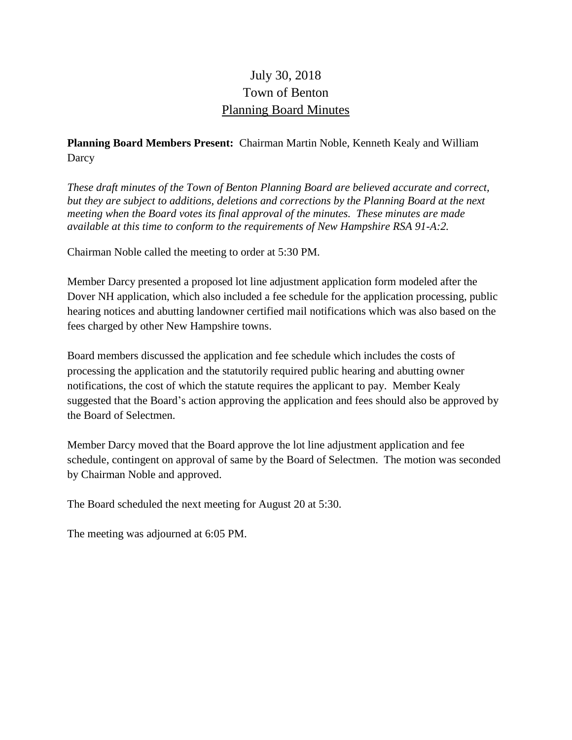# July 30, 2018 Town of Benton Planning Board Minutes

# **Planning Board Members Present:** Chairman Martin Noble, Kenneth Kealy and William Darcy

*These draft minutes of the Town of Benton Planning Board are believed accurate and correct, but they are subject to additions, deletions and corrections by the Planning Board at the next meeting when the Board votes its final approval of the minutes. These minutes are made available at this time to conform to the requirements of New Hampshire RSA 91-A:2.*

Chairman Noble called the meeting to order at 5:30 PM.

Member Darcy presented a proposed lot line adjustment application form modeled after the Dover NH application, which also included a fee schedule for the application processing, public hearing notices and abutting landowner certified mail notifications which was also based on the fees charged by other New Hampshire towns.

Board members discussed the application and fee schedule which includes the costs of processing the application and the statutorily required public hearing and abutting owner notifications, the cost of which the statute requires the applicant to pay. Member Kealy suggested that the Board's action approving the application and fees should also be approved by the Board of Selectmen.

Member Darcy moved that the Board approve the lot line adjustment application and fee schedule, contingent on approval of same by the Board of Selectmen. The motion was seconded by Chairman Noble and approved.

The Board scheduled the next meeting for August 20 at 5:30.

The meeting was adjourned at 6:05 PM.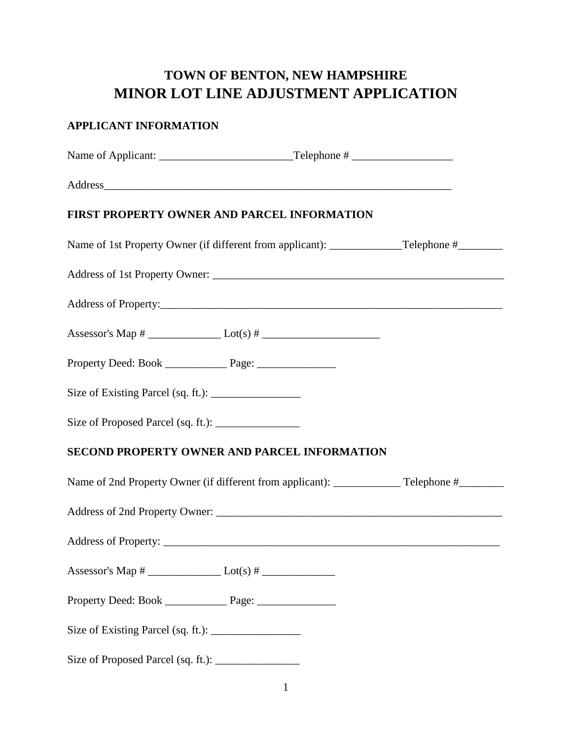# **TOWN OF BENTON, NEW HAMPSHIRE MINOR LOT LINE ADJUSTMENT APPLICATION**

# **APPLICANT INFORMATION** Name of Applicant: Telephone # Address **FIRST PROPERTY OWNER AND PARCEL INFORMATION**  Name of 1st Property Owner (if different from applicant): Telephone # Address of 1st Property Owner: \_\_\_\_\_\_\_\_\_\_\_\_\_\_\_\_\_\_\_\_\_\_\_\_\_\_\_\_\_\_\_\_\_\_\_\_\_\_\_\_\_\_\_\_\_\_\_\_\_\_\_\_ Address of Property: Assessor's Map # \_\_\_\_\_\_\_\_\_\_\_\_\_ Lot(s) # \_\_\_\_\_\_\_\_\_\_\_\_\_\_\_\_\_\_\_\_\_ Property Deed: Book \_\_\_\_\_\_\_\_\_\_\_ Page: \_\_\_\_\_\_\_\_\_\_\_\_\_\_ Size of Existing Parcel (sq. ft.):  $\frac{\ }{\ }$ Size of Proposed Parcel (sq. ft.): **SECOND PROPERTY OWNER AND PARCEL INFORMATION**  Name of 2nd Property Owner (if different from applicant): \_\_\_\_\_\_\_\_\_\_\_\_\_\_\_\_\_\_\_\_\_\_\_ Telephone #\_\_\_\_\_\_\_\_\_\_\_\_\_\_\_\_\_ Address of 2nd Property Owner: \_\_\_\_\_\_\_\_\_\_\_\_\_\_\_\_\_\_\_\_\_\_\_\_\_\_\_\_\_\_\_\_\_\_\_\_\_\_\_\_\_\_\_\_\_\_\_\_\_\_\_ Address of Property: \_\_\_\_\_\_\_\_\_\_\_\_\_\_\_\_\_\_\_\_\_\_\_\_\_\_\_\_\_\_\_\_\_\_\_\_\_\_\_\_\_\_\_\_\_\_\_\_\_\_\_\_\_\_\_\_\_\_\_\_ Assessor's Map #  $\qquad \qquad$  Lot(s) # Property Deed: Book \_\_\_\_\_\_\_\_\_\_\_ Page: \_\_\_\_\_\_\_\_\_\_\_\_\_\_ Size of Existing Parcel (sq. ft.):

Size of Proposed Parcel (sq. ft.): \_\_\_\_\_\_\_\_\_\_\_\_\_\_\_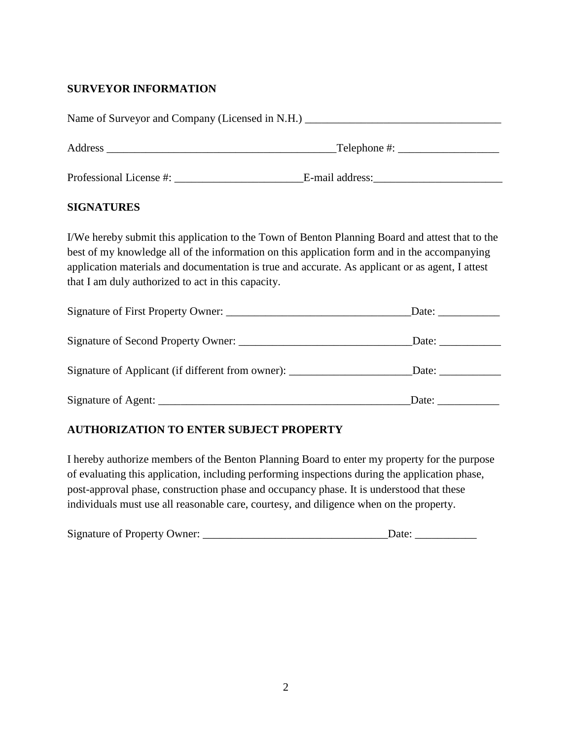# **SURVEYOR INFORMATION**

| <b>SIGNATURES</b>                                  |                                                                                                                                                                                                                                                                                                     |  |  |
|----------------------------------------------------|-----------------------------------------------------------------------------------------------------------------------------------------------------------------------------------------------------------------------------------------------------------------------------------------------------|--|--|
| that I am duly authorized to act in this capacity. | I/We hereby submit this application to the Town of Benton Planning Board and attest that to the<br>best of my knowledge all of the information on this application form and in the accompanying<br>application materials and documentation is true and accurate. As applicant or as agent, I attest |  |  |
|                                                    |                                                                                                                                                                                                                                                                                                     |  |  |
|                                                    | Date:                                                                                                                                                                                                                                                                                               |  |  |
|                                                    | Signature of Applicant (if different from owner): ________________________Date: ___________________                                                                                                                                                                                                 |  |  |
|                                                    | Date: $\frac{1}{\sqrt{1-\frac{1}{2}}\cdot\frac{1}{2}}$                                                                                                                                                                                                                                              |  |  |

## **AUTHORIZATION TO ENTER SUBJECT PROPERTY**

I hereby authorize members of the Benton Planning Board to enter my property for the purpose of evaluating this application, including performing inspections during the application phase, post-approval phase, construction phase and occupancy phase. It is understood that these individuals must use all reasonable care, courtesy, and diligence when on the property.

|  | <b>Signature of Property Owner:</b> | Date: |
|--|-------------------------------------|-------|
|--|-------------------------------------|-------|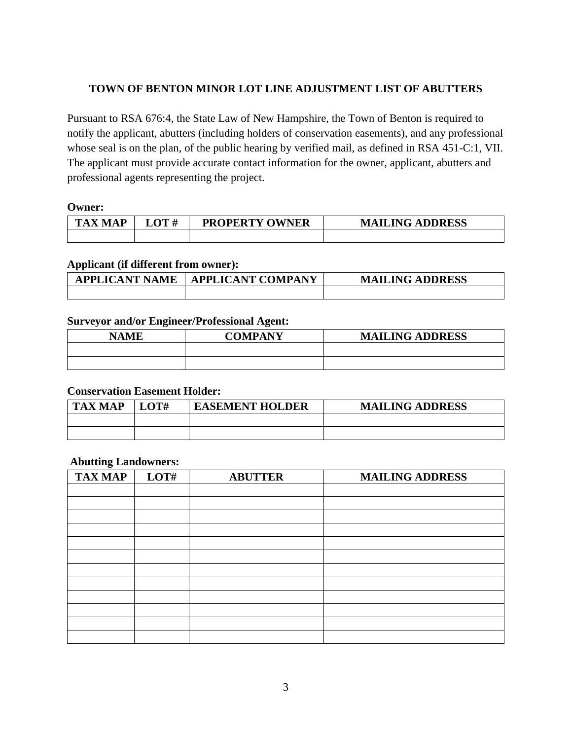## **TOWN OF BENTON MINOR LOT LINE ADJUSTMENT LIST OF ABUTTERS**

Pursuant to RSA 676:4, the State Law of New Hampshire, the Town of Benton is required to notify the applicant, abutters (including holders of conservation easements), and any professional whose seal is on the plan, of the public hearing by verified mail, as defined in RSA 451-C:1, VII. The applicant must provide accurate contact information for the owner, applicant, abutters and professional agents representing the project.

#### **Owner:**

| <b>TAX</b><br>I A P<br>M | $\mathbf{LOT} \ \#$ | <b>PROPERTY</b><br><sup>7</sup> OWNER | <b>MAILING ADDRESS</b> |
|--------------------------|---------------------|---------------------------------------|------------------------|
|                          |                     |                                       |                        |

#### **Applicant (if different from owner):**

| <b>APPLICANT NAME</b> | <b>APPLICANT COMPANY</b> | <b>MAILING ADDRESS</b> |
|-----------------------|--------------------------|------------------------|
|                       |                          |                        |

### **Surveyor and/or Engineer/Professional Agent:**

| NAME | COMPANY | <b>MAILING ADDRESS</b> |
|------|---------|------------------------|
|      |         |                        |
|      |         |                        |

#### **Conservation Easement Holder:**

| <b>TAX MAP</b> | OT# | <b>EASEMENT HOLDER</b> | <b>MAILING ADDRESS</b> |
|----------------|-----|------------------------|------------------------|
|                |     |                        |                        |
|                |     |                        |                        |

#### **Abutting Landowners:**

| <b>TAX MAP</b> | LOT# | <b>ABUTTER</b> | <b>MAILING ADDRESS</b> |
|----------------|------|----------------|------------------------|
|                |      |                |                        |
|                |      |                |                        |
|                |      |                |                        |
|                |      |                |                        |
|                |      |                |                        |
|                |      |                |                        |
|                |      |                |                        |
|                |      |                |                        |
|                |      |                |                        |
|                |      |                |                        |
|                |      |                |                        |
|                |      |                |                        |